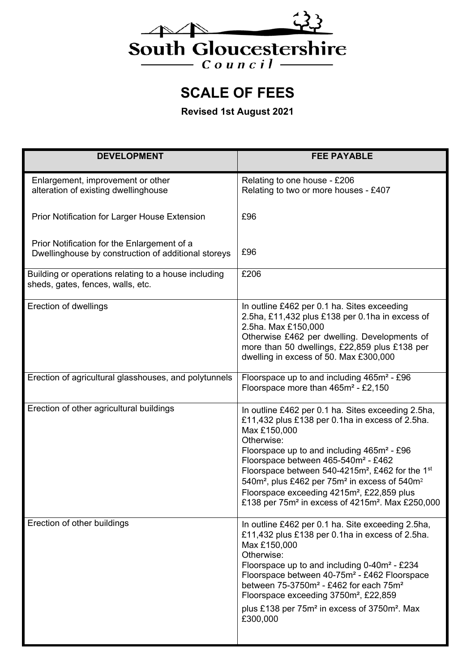

**SCALE OF FEES** 

**Revised 1st August 2021** 

| <b>DEVELOPMENT</b>                                                                                 | <b>FEE PAYABLE</b>                                                                                                                                                                                                                                                                                                                                                                                                                                                                                                                             |
|----------------------------------------------------------------------------------------------------|------------------------------------------------------------------------------------------------------------------------------------------------------------------------------------------------------------------------------------------------------------------------------------------------------------------------------------------------------------------------------------------------------------------------------------------------------------------------------------------------------------------------------------------------|
| Enlargement, improvement or other<br>alteration of existing dwellinghouse                          | Relating to one house - £206<br>Relating to two or more houses - £407                                                                                                                                                                                                                                                                                                                                                                                                                                                                          |
| Prior Notification for Larger House Extension                                                      | £96                                                                                                                                                                                                                                                                                                                                                                                                                                                                                                                                            |
| Prior Notification for the Enlargement of a<br>Dwellinghouse by construction of additional storeys | £96                                                                                                                                                                                                                                                                                                                                                                                                                                                                                                                                            |
| Building or operations relating to a house including<br>sheds, gates, fences, walls, etc.          | £206                                                                                                                                                                                                                                                                                                                                                                                                                                                                                                                                           |
| <b>Erection of dwellings</b>                                                                       | In outline £462 per 0.1 ha. Sites exceeding<br>2.5ha, £11,432 plus £138 per 0.1ha in excess of<br>2.5ha. Max £150,000<br>Otherwise £462 per dwelling. Developments of<br>more than 50 dwellings, £22,859 plus £138 per<br>dwelling in excess of 50. Max £300,000                                                                                                                                                                                                                                                                               |
| Erection of agricultural glasshouses, and polytunnels                                              | Floorspace up to and including 465m <sup>2</sup> - £96<br>Floorspace more than 465m <sup>2</sup> - £2,150                                                                                                                                                                                                                                                                                                                                                                                                                                      |
| Erection of other agricultural buildings                                                           | In outline £462 per 0.1 ha. Sites exceeding 2.5ha,<br>£11,432 plus £138 per 0.1ha in excess of 2.5ha.<br>Max £150,000<br>Otherwise:<br>Floorspace up to and including $465m^2 - £96$<br>Floorspace between 465-540m <sup>2</sup> - £462<br>Floorspace between 540-4215m <sup>2</sup> , £462 for the 1 <sup>st</sup><br>540m <sup>2</sup> , plus £462 per 75m <sup>2</sup> in excess of 540m <sup>2</sup><br>Floorspace exceeding 4215m <sup>2</sup> , £22,859 plus<br>£138 per 75m <sup>2</sup> in excess of 4215m <sup>2</sup> . Max £250,000 |
| Erection of other buildings                                                                        | In outline £462 per 0.1 ha. Site exceeding 2.5ha,<br>£11,432 plus £138 per 0.1ha in excess of 2.5ha.<br>Max £150,000<br>Otherwise:<br>Floorspace up to and including 0-40m <sup>2</sup> - £234<br>Floorspace between 40-75m <sup>2</sup> - £462 Floorspace<br>between 75-3750m <sup>2</sup> - £462 for each 75m <sup>2</sup><br>Floorspace exceeding 3750m <sup>2</sup> , £22,859<br>plus £138 per 75m <sup>2</sup> in excess of 3750m <sup>2</sup> . Max<br>£300,000                                                                          |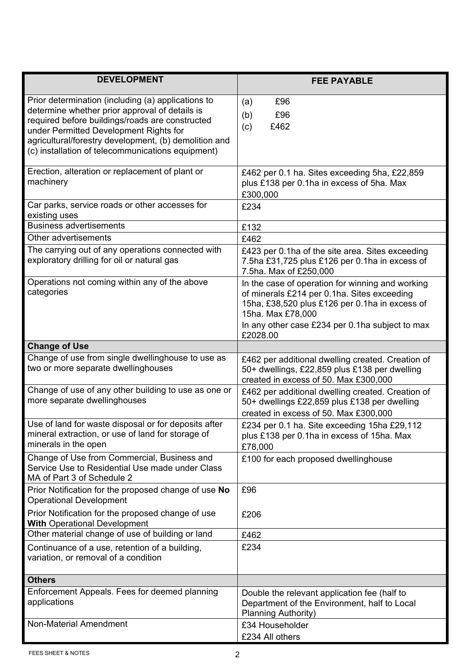| <b>DEVELOPMENT</b>                                                                                                                                                                                                                                                                                              | <b>FEE PAYABLE</b>                                                                                                                                                                                                                    |
|-----------------------------------------------------------------------------------------------------------------------------------------------------------------------------------------------------------------------------------------------------------------------------------------------------------------|---------------------------------------------------------------------------------------------------------------------------------------------------------------------------------------------------------------------------------------|
| Prior determination (including (a) applications to<br>determine whether prior approval of details is<br>required before buildings/roads are constructed<br>under Permitted Development Rights for<br>agricultural/forestry development, (b) demolition and<br>(c) installation of telecommunications equipment) | £96<br>(a)<br>(b)<br>£96<br>£462<br>(c)                                                                                                                                                                                               |
| Erection, alteration or replacement of plant or<br>machinery                                                                                                                                                                                                                                                    | £462 per 0.1 ha. Sites exceeding 5ha, £22,859<br>plus £138 per 0.1ha in excess of 5ha. Max<br>£300,000                                                                                                                                |
| Car parks, service roads or other accesses for<br>existing uses                                                                                                                                                                                                                                                 | £234                                                                                                                                                                                                                                  |
| <b>Business advertisements</b>                                                                                                                                                                                                                                                                                  | £132                                                                                                                                                                                                                                  |
| Other advertisements                                                                                                                                                                                                                                                                                            | £462                                                                                                                                                                                                                                  |
| The carrying out of any operations connected with<br>exploratory drilling for oil or natural gas                                                                                                                                                                                                                | £423 per 0.1ha of the site area. Sites exceeding<br>7.5ha £31,725 plus £126 per 0.1ha in excess of<br>7.5ha. Max of £250,000                                                                                                          |
| Operations not coming within any of the above<br>categories                                                                                                                                                                                                                                                     | In the case of operation for winning and working<br>of minerals £214 per 0.1ha. Sites exceeding<br>15ha, £38,520 plus £126 per 0.1ha in excess of<br>15ha. Max £78,000<br>In any other case £234 per 0.1ha subject to max<br>£2028.00 |
| <b>Change of Use</b>                                                                                                                                                                                                                                                                                            |                                                                                                                                                                                                                                       |
| Change of use from single dwellinghouse to use as<br>two or more separate dwellinghouses                                                                                                                                                                                                                        | £462 per additional dwelling created. Creation of<br>50+ dwellings, £22,859 plus £138 per dwelling<br>created in excess of 50. Max £300,000                                                                                           |
| Change of use of any other building to use as one or<br>more separate dwellinghouses                                                                                                                                                                                                                            | £462 per additional dwelling created. Creation of<br>50+ dwellings £22,859 plus £138 per dwelling<br>created in excess of 50. Max £300,000                                                                                            |
| Use of land for waste disposal or for deposits after<br>mineral extraction, or use of land for storage of<br>minerals in the open                                                                                                                                                                               | £234 per 0.1 ha. Site exceeding 15ha £29,112<br>plus £138 per 0.1ha in excess of 15ha. Max<br>£78,000                                                                                                                                 |
| Change of Use from Commercial, Business and<br>Service Use to Residential Use made under Class<br>MA of Part 3 of Schedule 2                                                                                                                                                                                    | £100 for each proposed dwellinghouse                                                                                                                                                                                                  |
| Prior Notification for the proposed change of use No<br><b>Operational Development</b>                                                                                                                                                                                                                          | £96                                                                                                                                                                                                                                   |
| Prior Notification for the proposed change of use<br><b>With Operational Development</b>                                                                                                                                                                                                                        | £206                                                                                                                                                                                                                                  |
| Other material change of use of building or land                                                                                                                                                                                                                                                                | £462                                                                                                                                                                                                                                  |
| Continuance of a use, retention of a building,<br>variation, or removal of a condition                                                                                                                                                                                                                          | £234                                                                                                                                                                                                                                  |
| <b>Others</b>                                                                                                                                                                                                                                                                                                   |                                                                                                                                                                                                                                       |
| Enforcement Appeals. Fees for deemed planning<br>applications                                                                                                                                                                                                                                                   | Double the relevant application fee (half to<br>Department of the Environment, half to Local<br><b>Planning Authority)</b>                                                                                                            |
| Non-Material Amendment                                                                                                                                                                                                                                                                                          | £34 Householder<br>£234 All others                                                                                                                                                                                                    |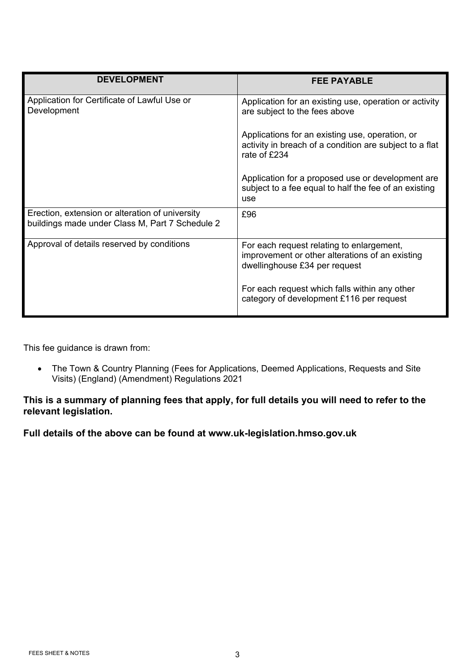| <b>DEVELOPMENT</b>                                                                                 | <b>FEE PAYABLE</b>                                                                                                            |
|----------------------------------------------------------------------------------------------------|-------------------------------------------------------------------------------------------------------------------------------|
| Application for Certificate of Lawful Use or<br>Development                                        | Application for an existing use, operation or activity<br>are subject to the fees above                                       |
|                                                                                                    | Applications for an existing use, operation, or<br>activity in breach of a condition are subject to a flat<br>rate of £234    |
|                                                                                                    | Application for a proposed use or development are<br>subject to a fee equal to half the fee of an existing<br>use             |
| Erection, extension or alteration of university<br>buildings made under Class M, Part 7 Schedule 2 | £96                                                                                                                           |
| Approval of details reserved by conditions                                                         | For each request relating to enlargement,<br>improvement or other alterations of an existing<br>dwellinghouse £34 per request |
|                                                                                                    | For each request which falls within any other<br>category of development £116 per request                                     |

This fee guidance is drawn from:

 The Town & Country Planning (Fees for Applications, Deemed Applications, Requests and Site Visits) (England) (Amendment) Regulations 2021

## **This is a summary of planning fees that apply, for full details you will need to refer to the relevant legislation.**

**Full details of the above can be found at www.uk-legislation.hmso.gov.uk**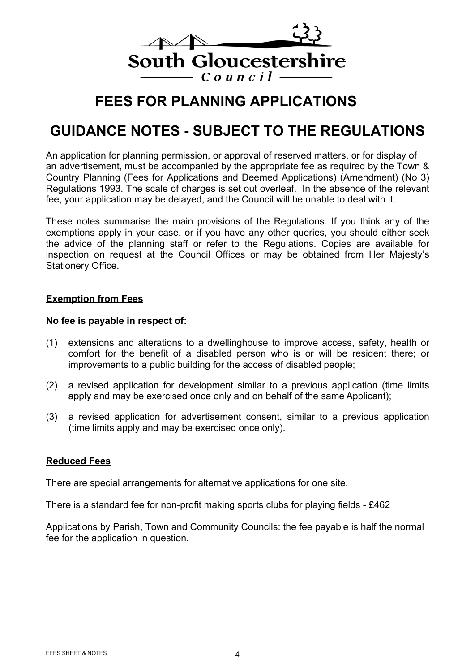

## **FEES FOR PLANNING APPLICATIONS**

# **GUIDANCE NOTES - SUBJECT TO THE REGULATIONS**

An application for planning permission, or approval of reserved matters, or for display of an advertisement, must be accompanied by the appropriate fee as required by the Town & Country Planning (Fees for Applications and Deemed Applications) (Amendment) (No 3) Regulations 1993. The scale of charges is set out overleaf. In the absence of the relevant fee, your application may be delayed, and the Council will be unable to deal with it.

These notes summarise the main provisions of the Regulations. If you think any of the exemptions apply in your case, or if you have any other queries, you should either seek the advice of the planning staff or refer to the Regulations. Copies are available for inspection on request at the Council Offices or may be obtained from Her Majesty's Stationery Office.

#### **Exemption from Fees**

#### **No fee is payable in respect of:**

- (1) extensions and alterations to a dwellinghouse to improve access, safety, health or comfort for the benefit of a disabled person who is or will be resident there; or improvements to a public building for the access of disabled people;
- (2) a revised application for development similar to a previous application (time limits apply and may be exercised once only and on behalf of the same Applicant);
- (3) a revised application for advertisement consent, similar to a previous application (time limits apply and may be exercised once only).

## **Reduced Fees**

There are special arrangements for alternative applications for one site.

There is a standard fee for non-profit making sports clubs for playing fields - £462

Applications by Parish, Town and Community Councils: the fee payable is half the normal fee for the application in question.